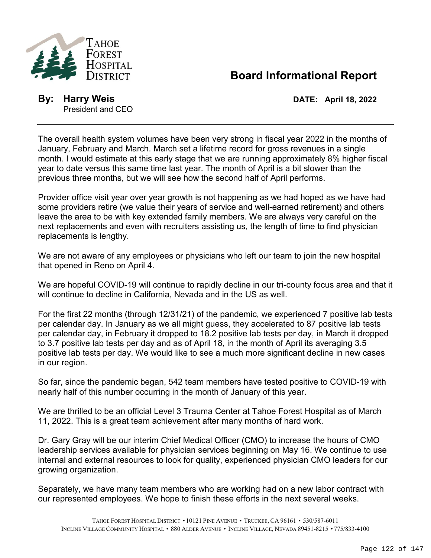

## **Board Informational Report**

**By: Harry Weis DATE: April 18, 2022** President and CEO

The overall health system volumes have been very strong in fiscal year 2022 in the months of January, February and March. March set a lifetime record for gross revenues in a single month. I would estimate at this early stage that we are running approximately 8% higher fiscal year to date versus this same time last year. The month of April is a bit slower than the previous three months, but we will see how the second half of April performs.

Provider office visit year over year growth is not happening as we had hoped as we have had some providers retire (we value their years of service and well-earned retirement) and others leave the area to be with key extended family members. We are always very careful on the next replacements and even with recruiters assisting us, the length of time to find physician replacements is lengthy.

We are not aware of any employees or physicians who left our team to join the new hospital that opened in Reno on April 4.

We are hopeful COVID-19 will continue to rapidly decline in our tri-county focus area and that it will continue to decline in California, Nevada and in the US as well.

For the first 22 months (through 12/31/21) of the pandemic, we experienced 7 positive lab tests per calendar day. In January as we all might guess, they accelerated to 87 positive lab tests per calendar day, in February it dropped to 18.2 positive lab tests per day, in March it dropped to 3.7 positive lab tests per day and as of April 18, in the month of April its averaging 3.5 positive lab tests per day. We would like to see a much more significant decline in new cases in our region.

So far, since the pandemic began, 542 team members have tested positive to COVID-19 with nearly half of this number occurring in the month of January of this year.

We are thrilled to be an official Level 3 Trauma Center at Tahoe Forest Hospital as of March 11, 2022. This is a great team achievement after many months of hard work.

Dr. Gary Gray will be our interim Chief Medical Officer (CMO) to increase the hours of CMO leadership services available for physician services beginning on May 16. We continue to use internal and external resources to look for quality, experienced physician CMO leaders for our growing organization.

Separately, we have many team members who are working had on a new labor contract with our represented employees. We hope to finish these efforts in the next several weeks.